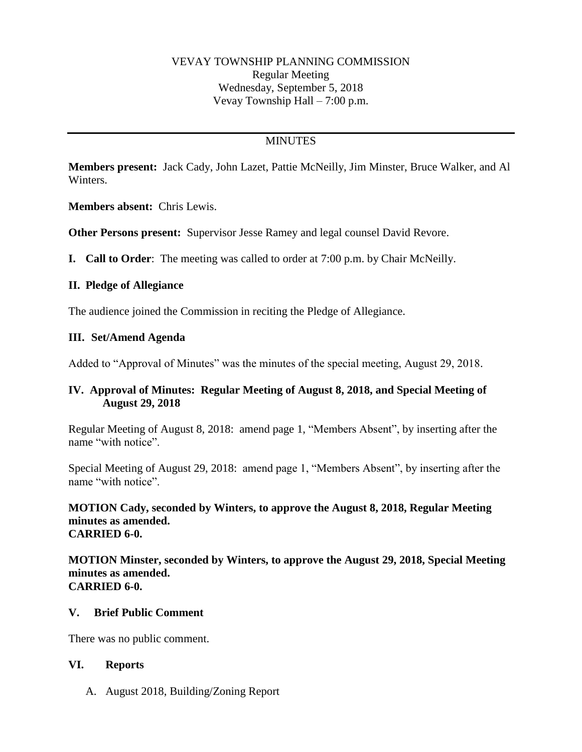## **MINUTES**

**Members present:** Jack Cady, John Lazet, Pattie McNeilly, Jim Minster, Bruce Walker, and Al Winters.

**Members absent:** Chris Lewis.

**Other Persons present:** Supervisor Jesse Ramey and legal counsel David Revore.

**I. Call to Order**: The meeting was called to order at 7:00 p.m. by Chair McNeilly.

### **II. Pledge of Allegiance**

The audience joined the Commission in reciting the Pledge of Allegiance.

### **III. Set/Amend Agenda**

Added to "Approval of Minutes" was the minutes of the special meeting, August 29, 2018.

### **IV. Approval of Minutes: Regular Meeting of August 8, 2018, and Special Meeting of August 29, 2018**

Regular Meeting of August 8, 2018:amend page 1, "Members Absent", by inserting after the name "with notice".

Special Meeting of August 29, 2018:amend page 1, "Members Absent", by inserting after the name "with notice".

**MOTION Cady, seconded by Winters, to approve the August 8, 2018, Regular Meeting minutes as amended. CARRIED 6-0.**

**MOTION Minster, seconded by Winters, to approve the August 29, 2018, Special Meeting minutes as amended. CARRIED 6-0.**

#### **V. Brief Public Comment**

There was no public comment.

#### **VI. Reports**

A. August 2018, Building/Zoning Report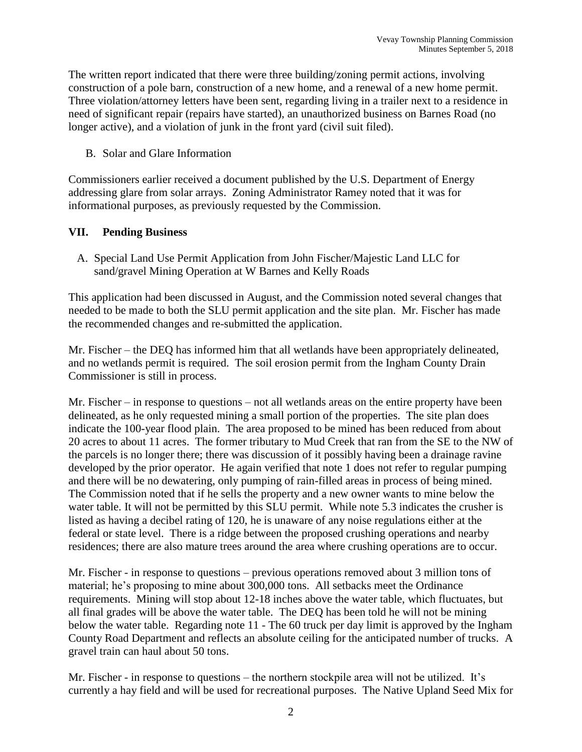The written report indicated that there were three building/zoning permit actions, involving construction of a pole barn, construction of a new home, and a renewal of a new home permit. Three violation/attorney letters have been sent, regarding living in a trailer next to a residence in need of significant repair (repairs have started), an unauthorized business on Barnes Road (no longer active), and a violation of junk in the front yard (civil suit filed).

B. Solar and Glare Information

Commissioners earlier received a document published by the U.S. Department of Energy addressing glare from solar arrays. Zoning Administrator Ramey noted that it was for informational purposes, as previously requested by the Commission.

### **VII. Pending Business**

A. Special Land Use Permit Application from John Fischer/Majestic Land LLC for sand/gravel Mining Operation at W Barnes and Kelly Roads

This application had been discussed in August, and the Commission noted several changes that needed to be made to both the SLU permit application and the site plan. Mr. Fischer has made the recommended changes and re-submitted the application.

Mr. Fischer – the DEQ has informed him that all wetlands have been appropriately delineated, and no wetlands permit is required. The soil erosion permit from the Ingham County Drain Commissioner is still in process.

Mr. Fischer – in response to questions – not all wetlands areas on the entire property have been delineated, as he only requested mining a small portion of the properties. The site plan does indicate the 100-year flood plain. The area proposed to be mined has been reduced from about 20 acres to about 11 acres. The former tributary to Mud Creek that ran from the SE to the NW of the parcels is no longer there; there was discussion of it possibly having been a drainage ravine developed by the prior operator. He again verified that note 1 does not refer to regular pumping and there will be no dewatering, only pumping of rain-filled areas in process of being mined. The Commission noted that if he sells the property and a new owner wants to mine below the water table. It will not be permitted by this SLU permit. While note 5.3 indicates the crusher is listed as having a decibel rating of 120, he is unaware of any noise regulations either at the federal or state level. There is a ridge between the proposed crushing operations and nearby residences; there are also mature trees around the area where crushing operations are to occur.

Mr. Fischer - in response to questions – previous operations removed about 3 million tons of material; he's proposing to mine about 300,000 tons. All setbacks meet the Ordinance requirements. Mining will stop about 12-18 inches above the water table, which fluctuates, but all final grades will be above the water table. The DEQ has been told he will not be mining below the water table. Regarding note 11 - The 60 truck per day limit is approved by the Ingham County Road Department and reflects an absolute ceiling for the anticipated number of trucks. A gravel train can haul about 50 tons.

Mr. Fischer - in response to questions – the northern stockpile area will not be utilized. It's currently a hay field and will be used for recreational purposes. The Native Upland Seed Mix for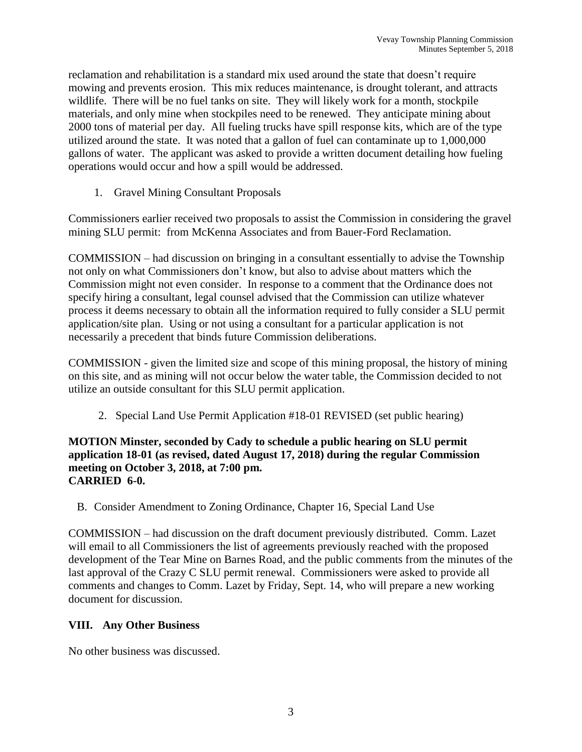reclamation and rehabilitation is a standard mix used around the state that doesn't require mowing and prevents erosion. This mix reduces maintenance, is drought tolerant, and attracts wildlife. There will be no fuel tanks on site. They will likely work for a month, stockpile materials, and only mine when stockpiles need to be renewed. They anticipate mining about 2000 tons of material per day. All fueling trucks have spill response kits, which are of the type utilized around the state. It was noted that a gallon of fuel can contaminate up to 1,000,000 gallons of water. The applicant was asked to provide a written document detailing how fueling operations would occur and how a spill would be addressed.

1. Gravel Mining Consultant Proposals

Commissioners earlier received two proposals to assist the Commission in considering the gravel mining SLU permit: from McKenna Associates and from Bauer-Ford Reclamation.

COMMISSION – had discussion on bringing in a consultant essentially to advise the Township not only on what Commissioners don't know, but also to advise about matters which the Commission might not even consider. In response to a comment that the Ordinance does not specify hiring a consultant, legal counsel advised that the Commission can utilize whatever process it deems necessary to obtain all the information required to fully consider a SLU permit application/site plan. Using or not using a consultant for a particular application is not necessarily a precedent that binds future Commission deliberations.

COMMISSION - given the limited size and scope of this mining proposal, the history of mining on this site, and as mining will not occur below the water table, the Commission decided to not utilize an outside consultant for this SLU permit application.

2. Special Land Use Permit Application #18-01 REVISED (set public hearing)

### **MOTION Minster, seconded by Cady to schedule a public hearing on SLU permit application 18-01 (as revised, dated August 17, 2018) during the regular Commission meeting on October 3, 2018, at 7:00 pm. CARRIED 6-0.**

B. Consider Amendment to Zoning Ordinance, Chapter 16, Special Land Use

COMMISSION – had discussion on the draft document previously distributed. Comm. Lazet will email to all Commissioners the list of agreements previously reached with the proposed development of the Tear Mine on Barnes Road, and the public comments from the minutes of the last approval of the Crazy C SLU permit renewal. Commissioners were asked to provide all comments and changes to Comm. Lazet by Friday, Sept. 14, who will prepare a new working document for discussion.

## **VIII. Any Other Business**

No other business was discussed.